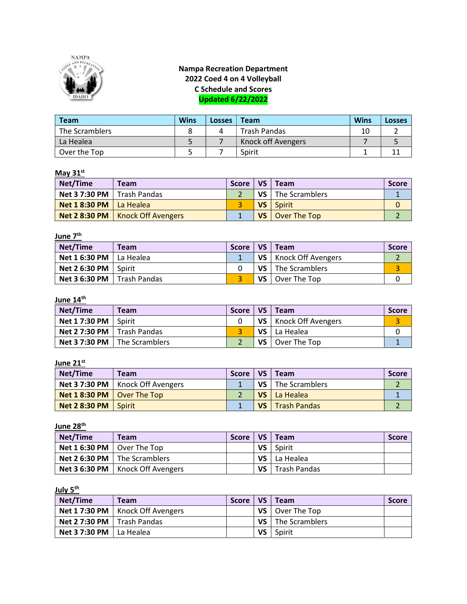

# Nampa Recreation Department 2022 Coed 4 on 4 Volleyball C Schedule and Scores Updated 6/22/2022

| Team           | <b>Wins</b> | <b>LOSSES</b> | Team                | <b>Wins</b> | <b>Losses</b> |
|----------------|-------------|---------------|---------------------|-------------|---------------|
| The Scramblers |             |               | <b>Trash Pandas</b> | 10          |               |
| La Healea      |             |               | Knock off Avengers  |             |               |
| Over the Top   |             |               | Spirit              |             |               |

## May  $31<sup>st</sup>$

| Net/Time                                  | Team                               | <b>Score</b> | VS <sub>1</sub> | Team           | <b>Score</b> |
|-------------------------------------------|------------------------------------|--------------|-----------------|----------------|--------------|
| <b>Net 3 7:30 PM</b> $\vert$ Trash Pandas |                                    |              | VS              | The Scramblers |              |
| <b>Net 1 8:30 PM</b> $ $ La Healea        |                                    |              |                 | VS   Spirit    |              |
|                                           | Net 2 8:30 PM   Knock Off Avengers |              | VS I            | Over The Top   |              |

#### <u>June 7<sup>th</sup></u>

| Net/Time                               | Team | <b>Score</b> |           | $VS \mid Team$          | Score |
|----------------------------------------|------|--------------|-----------|-------------------------|-------|
| <b>Net 1 6:30 PM</b> $\vert$ La Healea |      |              |           | VS   Knock Off Avengers |       |
| Net 2 6:30 PM $\vert$ Spirit           |      |              | <b>VS</b> | The Scramblers          |       |
| <b>Net 3 6:30 PM</b>   Trash Pandas    |      |              | <b>VS</b> | Over The Top            |       |

#### June 14<sup>th</sup>

| Net/Time                                  | <b>Team</b>                           | <b>Score</b> | VS <sub>1</sub> | Team                    | <b>Score</b> |
|-------------------------------------------|---------------------------------------|--------------|-----------------|-------------------------|--------------|
| Net 1 7:30 PM                             | Spirit                                |              |                 | VS   Knock Off Avengers |              |
| <b>Net 2 7:30 PM</b> $\vert$ Trash Pandas |                                       |              |                 | $VS$   La Healea        |              |
|                                           | <b>Net 3 7:30 PM</b>   The Scramblers |              | VS              | Over The Top            |              |

### June 21<sup>st</sup>

| <b>Net/Time</b>                           | <b>Team</b>                               | <b>Score</b> | VS              | Team                | <b>Score</b> |
|-------------------------------------------|-------------------------------------------|--------------|-----------------|---------------------|--------------|
|                                           | <b>Net 3 7:30 PM</b>   Knock Off Avengers |              | VS <sub>1</sub> | The Scramblers      |              |
| <b>Net 1 8:30 PM</b> $\vert$ Over The Top |                                           |              |                 | VS   La Healea      |              |
| <b>Net 2 8:30 PM</b>                      | Spirit                                    |              | <b>VS</b>       | <b>Trash Pandas</b> |              |

June 28<sup>th</sup>

| Net/Time                                  | <b>Team</b>                                 | <b>Score</b> | VS              | Team         | <b>Score</b> |
|-------------------------------------------|---------------------------------------------|--------------|-----------------|--------------|--------------|
| <b>Net 1 6:30 PM</b> $\vert$ Over The Top |                                             |              | VS              | Spirit       |              |
|                                           | <b>Net 2 6:30 PM</b> $\vert$ The Scramblers |              | VS <sub>1</sub> | l La Healea  |              |
|                                           | Net 3 6:30 PM   Knock Off Avengers          |              | VS.             | Trash Pandas |              |

July 5<sup>th</sup>

| Net/Time                                  | <b>Team</b>                               | <b>Score</b> | VS   | 'Team                          | <b>Score</b> |
|-------------------------------------------|-------------------------------------------|--------------|------|--------------------------------|--------------|
|                                           | <b>Net 1 7:30 PM</b>   Knock Off Avengers |              |      | <b>VS</b> $\vert$ Over The Top |              |
| <b>Net 2 7:30 PM</b> $\vert$ Trash Pandas |                                           |              | VS l | The Scramblers                 |              |
| <b>Net 3 7:30 PM</b> $\vert$ La Healea    |                                           |              | VS   | Spirit                         |              |